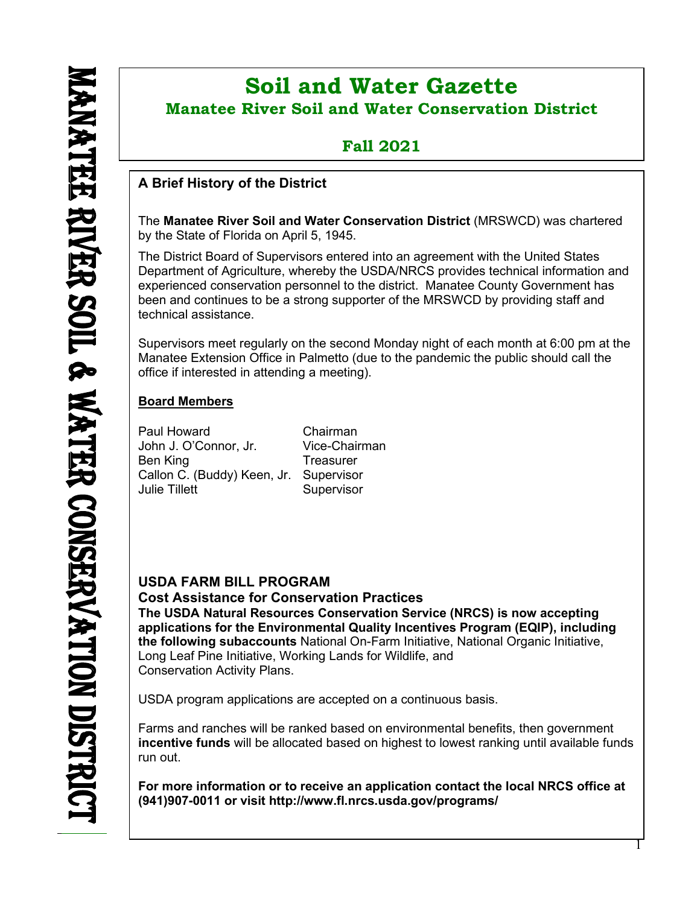ı

# **Soil and Water Gazette Manatee River Soil and Water Conservation District**

## **Fall 2021**

### **A Brief History of the District**

The **Manatee River Soil and Water Conservation District** (MRSWCD) was chartered by the State of Florida on April 5, 1945.

The District Board of Supervisors entered into an agreement with the United States Department of Agriculture, whereby the USDA/NRCS provides technical information and experienced conservation personnel to the district. Manatee County Government has been and continues to be a strong supporter of the MRSWCD by providing staff and technical assistance.

Supervisors meet regularly on the second Monday night of each month at 6:00 pm at the Manatee Extension Office in Palmetto (due to the pandemic the public should call the office if interested in attending a meeting).

### **Board Members**

Paul Howard Chairman John J. O'Connor, Jr. Vice-Chairman Ben King Callon C. (Buddy) Keen, Jr. Supervisor Julie Tillett Supervisor

### **USDA FARM BILL PROGRAM**

**Cost Assistance for Conservation Practices**

**The USDA Natural Resources Conservation Service (NRCS) is now accepting applications for the Environmental Quality Incentives Program (EQIP), including the following subaccounts** National On-Farm Initiative, National Organic Initiative, Long Leaf Pine Initiative, Working Lands for Wildlife, and Conservation Activity Plans.

USDA program applications are accepted on a continuous basis.

Farms and ranches will be ranked based on environmental benefits, then government **incentive funds** will be allocated based on highest to lowest ranking until available funds run out.

**For more information or to receive an application contact the local NRCS office at (941)907-0011 or visit <http://www.fl.nrcs.usda.gov/programs/>**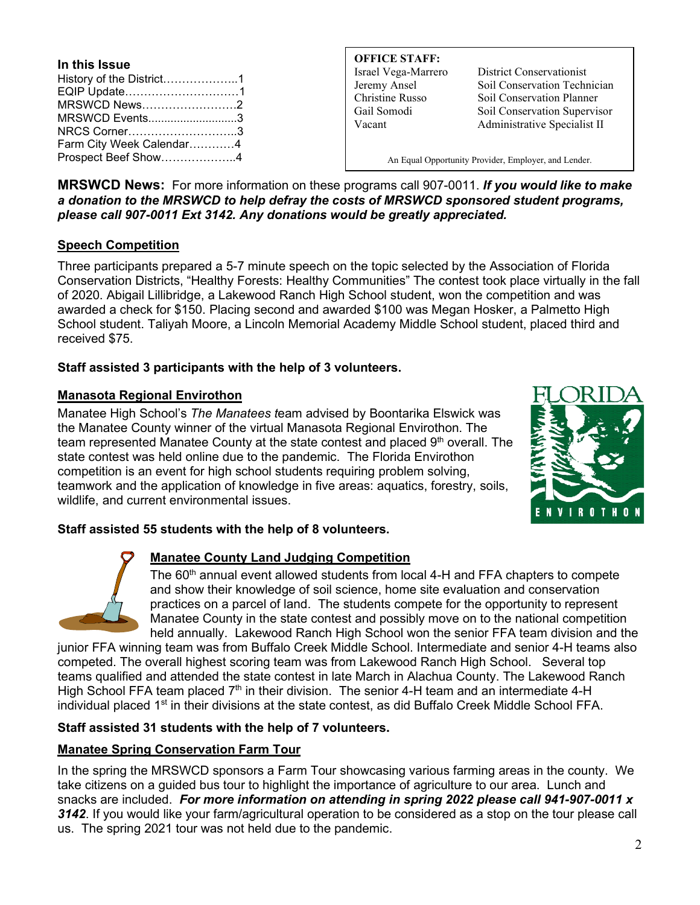| In this Issue            |  |
|--------------------------|--|
| History of the District1 |  |
| EQIP Update1             |  |
| MRSWCD News2             |  |
| MRSWCD Events3           |  |
| NRCS Corner3             |  |
| Farm City Week Calendar4 |  |
| Prospect Beef Show4      |  |

**OFFICE STAFF:**

Israel Vega-Marrero District Conservationist Jeremy Ansel Soil Conservation Technician Christine Russo Soil Conservation Planner Gail Somodi Soil Conservation Supervisor Vacant Administrative Specialist II

An Equal Opportunity Provider, Employer, and Lender.

**MRSWCD News:** For more information on these programs call 907-0011. *If you would like to make a donation to the MRSWCD to help defray the costs of MRSWCD sponsored student programs, please call 907-0011 Ext 3142. Any donations would be greatly appreciated.*

#### **Speech Competition**

Three participants prepared a 5-7 minute speech on the topic selected by the Association of Florida Conservation Districts, "Healthy Forests: Healthy Communities" The contest took place virtually in the fall of 2020. Abigail Lillibridge, a Lakewood Ranch High School student, won the competition and was awarded a check for \$150. Placing second and awarded \$100 was Megan Hosker, a Palmetto High School student. Taliyah Moore, a Lincoln Memorial Academy Middle School student, placed third and received \$75.

#### **Staff assisted 3 participants with the help of 3 volunteers.**

#### **Manasota Regional Envirothon**

Manatee High School's *The Manatees t*eam advised by Boontarika Elswick was the Manatee County winner of the virtual Manasota Regional Envirothon. The team represented Manatee County at the state contest and placed  $9<sup>th</sup>$  overall. The state contest was held online due to the pandemic. The Florida Envirothon competition is an event for high school students requiring problem solving, teamwork and the application of knowledge in five areas: aquatics, forestry, soils, wildlife, and current environmental issues.



#### **Staff assisted 55 students with the help of 8 volunteers.**



#### **Manatee County Land Judging Competition**

The 60<sup>th</sup> annual event allowed students from local 4-H and FFA chapters to compete and show their knowledge of soil science, home site evaluation and conservation practices on a parcel of land. The students compete for the opportunity to represent Manatee County in the state contest and possibly move on to the national competition held annually. Lakewood Ranch High School won the senior FFA team division and the

junior FFA winning team was from Buffalo Creek Middle School. Intermediate and senior 4-H teams also competed. The overall highest scoring team was from Lakewood Ranch High School. Several top teams qualified and attended the state contest in late March in Alachua County. The Lakewood Ranch High School FFA team placed  $7<sup>th</sup>$  in their division. The senior 4-H team and an intermediate 4-H individual placed 1<sup>st</sup> in their divisions at the state contest, as did Buffalo Creek Middle School FFA.

#### **Staff assisted 31 students with the help of 7 volunteers.**

#### **Manatee Spring Conservation Farm Tour**

In the spring the MRSWCD sponsors a Farm Tour showcasing various farming areas in the county. We take citizens on a guided bus tour to highlight the importance of agriculture to our area. Lunch and snacks are included. *For more information on attending in spring 2022 please call 941-907-0011 x 3142*. If you would like your farm/agricultural operation to be considered as a stop on the tour please call us. The spring 2021 tour was not held due to the pandemic.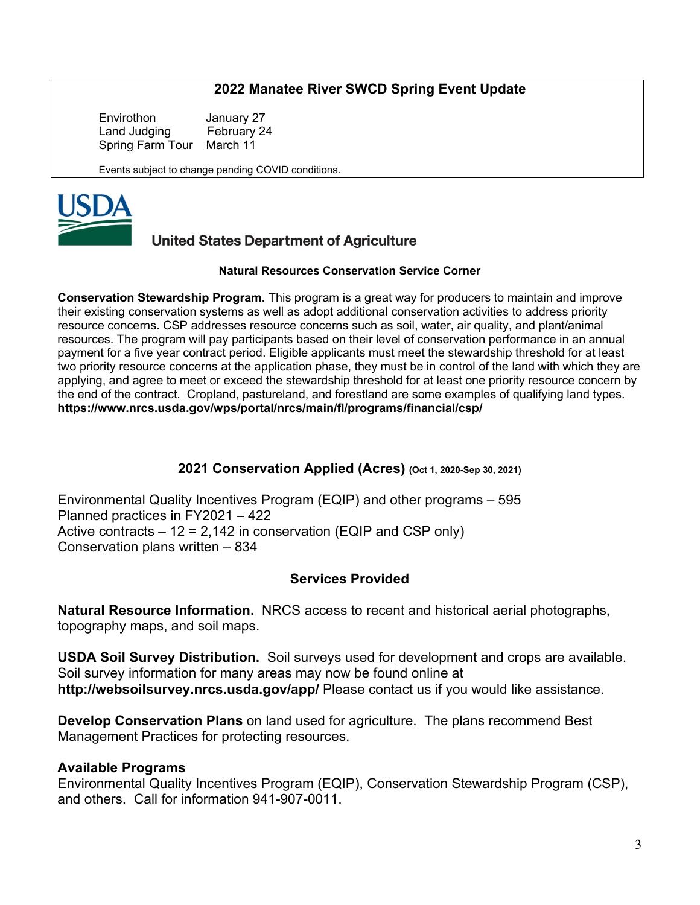### **2022 Manatee River SWCD Spring Event Update**

Envirothon January 27<br>Land Judging February 24 Land Judging Spring Farm Tour March 11

Events subject to change pending COVID conditions.



### **United States Department of Agriculture**

#### **Natural Resources Conservation Service Corner**

**Conservation Stewardship Program.** This program is a great way for producers to maintain and improve their existing conservation systems as well as adopt additional conservation activities to address priority resource concerns. CSP addresses resource concerns such as soil, water, air quality, and plant/animal resources. The program will pay participants based on their level of conservation performance in an annual payment for a five year contract period. Eligible applicants must meet the stewardship threshold for at least two priority resource concerns at the application phase, they must be in control of the land with which they are applying, and agree to meet or exceed the stewardship threshold for at least one priority resource concern by the end of the contract. Cropland, pastureland, and forestland are some examples of qualifying land types. **<https://www.nrcs.usda.gov/wps/portal/nrcs/main/fl/programs/financial/csp/>**

#### **2021 Conservation Applied (Acres) (Oct 1, 2020-Sep 30, 2021)**

Environmental Quality Incentives Program (EQIP) and other programs – 595 Planned practices in FY2021 – 422 Active contracts  $-12 = 2,142$  in conservation (EQIP and CSP only) Conservation plans written – 834

#### **Services Provided**

**Natural Resource Information.** NRCS access to recent and historical aerial photographs, topography maps, and soil maps.

**USDA Soil Survey Distribution.** Soil surveys used for development and crops are available. Soil survey information for many areas may now be found online at **<http://websoilsurvey.nrcs.usda.gov/app/>** Please contact us if you would like assistance.

**Develop Conservation Plans** on land used for agriculture. The plans recommend Best Management Practices for protecting resources.

#### **Available Programs**

Environmental Quality Incentives Program (EQIP), Conservation Stewardship Program (CSP), and others. Call for information 941-907-0011.